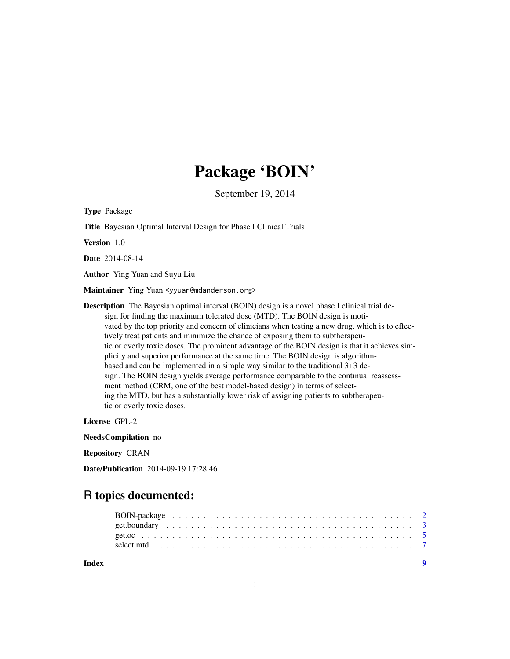## Package 'BOIN'

September 19, 2014

Type Package

Title Bayesian Optimal Interval Design for Phase I Clinical Trials

Version 1.0

Date 2014-08-14

Author Ying Yuan and Suyu Liu

Maintainer Ying Yuan <yyuan@mdanderson.org>

Description The Bayesian optimal interval (BOIN) design is a novel phase I clinical trial design for finding the maximum tolerated dose (MTD). The BOIN design is motivated by the top priority and concern of clinicians when testing a new drug, which is to effectively treat patients and minimize the chance of exposing them to subtherapeutic or overly toxic doses. The prominent advantage of the BOIN design is that it achieves simplicity and superior performance at the same time. The BOIN design is algorithmbased and can be implemented in a simple way similar to the traditional 3+3 design. The BOIN design yields average performance comparable to the continual reassessment method (CRM, one of the best model-based design) in terms of selecting the MTD, but has a substantially lower risk of assigning patients to subtherapeutic or overly toxic doses.

License GPL-2

NeedsCompilation no

Repository CRAN

Date/Publication 2014-09-19 17:28:46

### R topics documented:

| Index |  |
|-------|--|
|       |  |
|       |  |
|       |  |
|       |  |

1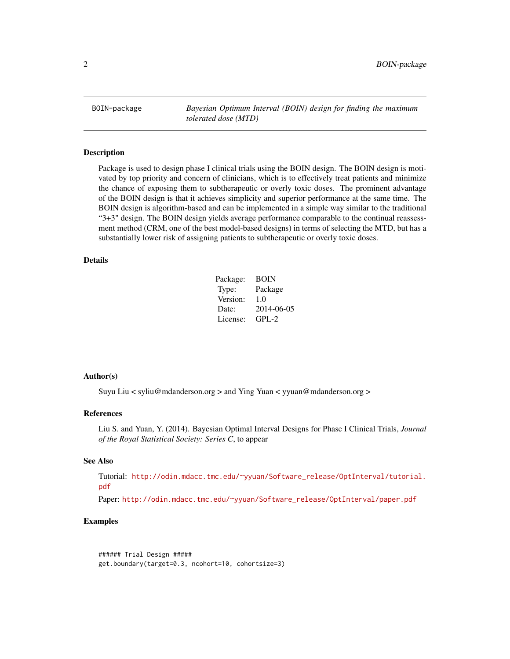<span id="page-1-0"></span>BOIN-package *Bayesian Optimum Interval (BOIN) design for finding the maximum tolerated dose (MTD)*

#### Description

Package is used to design phase I clinical trials using the BOIN design. The BOIN design is motivated by top priority and concern of clinicians, which is to effectively treat patients and minimize the chance of exposing them to subtherapeutic or overly toxic doses. The prominent advantage of the BOIN design is that it achieves simplicity and superior performance at the same time. The BOIN design is algorithm-based and can be implemented in a simple way similar to the traditional "3+3" design. The BOIN design yields average performance comparable to the continual reassessment method (CRM, one of the best model-based designs) in terms of selecting the MTD, but has a substantially lower risk of assigning patients to subtherapeutic or overly toxic doses.

#### Details

| Package: | <b>BOIN</b> |
|----------|-------------|
| Type:    | Package     |
| Version: | 1.0         |
| Date:    | 2014-06-05  |
| License: | $GPL-2$     |

#### Author(s)

Suyu Liu < syliu@mdanderson.org > and Ying Yuan < yyuan@mdanderson.org >

#### References

Liu S. and Yuan, Y. (2014). Bayesian Optimal Interval Designs for Phase I Clinical Trials, *Journal of the Royal Statistical Society: Series C*, to appear

#### See Also

Tutorial: [http://odin.mdacc.tmc.edu/~yyuan/Software\\_release/OptInterval/tutorial.](http://odin.mdacc.tmc.edu/~yyuan/Software_release/OptInterval/tutorial.pdf) [pdf](http://odin.mdacc.tmc.edu/~yyuan/Software_release/OptInterval/tutorial.pdf)

Paper: [http://odin.mdacc.tmc.edu/~yyuan/Software\\_release/OptInterval/paper.pdf](http://odin.mdacc.tmc.edu/~yyuan/Software_release/OptInterval/paper.pdf)

#### Examples

```
###### Trial Design #####
get.boundary(target=0.3, ncohort=10, cohortsize=3)
```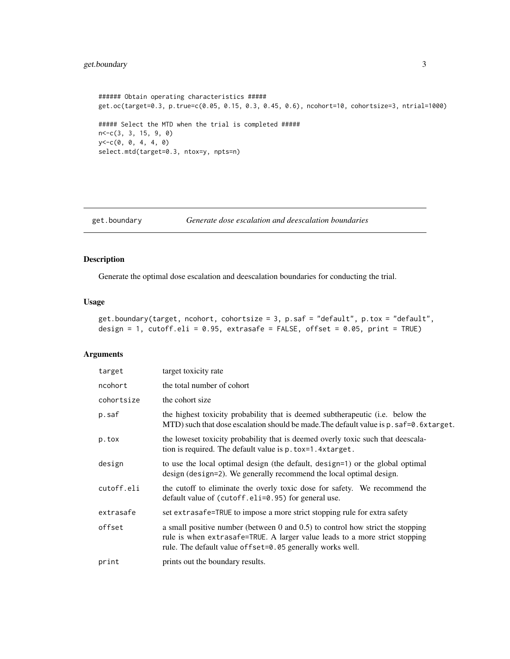```
###### Obtain operating characteristics #####
get.oc(target=0.3, p.true=c(0.05, 0.15, 0.3, 0.45, 0.6), ncohort=10, cohortsize=3, ntrial=1000)
##### Select the MTD when the trial is completed #####
n<-c(3, 3, 15, 9, 0)
y < -c(0, 0, 4, 4, 0)select.mtd(target=0.3, ntox=y, npts=n)
```

```
get.boundary Generate dose escalation and deescalation boundaries
```
#### Description

Generate the optimal dose escalation and deescalation boundaries for conducting the trial.

#### Usage

```
get.boundary(target, ncohort, cohortsize = 3, p.saf = "default", p.tox = "default",
design = 1, cutoff.eli = 0.95, extrasafe = FALSE, offset = 0.05, print = TRUE)
```
#### Arguments

| target     | target toxicity rate                                                                                                                                                                                                             |
|------------|----------------------------------------------------------------------------------------------------------------------------------------------------------------------------------------------------------------------------------|
| ncohort    | the total number of cohort                                                                                                                                                                                                       |
| cohortsize | the cohort size                                                                                                                                                                                                                  |
| p.saf      | the highest toxicity probability that is deemed subtherapeutic ( <i>i.e.</i> below the<br>MTD) such that dose escalation should be made. The default value is $p$ . $s$ af=0. 6xtarget.                                          |
| p.tox      | the loweset toxicity probability that is deemed overly toxic such that deescala-<br>tion is required. The default value is p. tox=1.4xtarget.                                                                                    |
| design     | to use the local optimal design (the default, design=1) or the global optimal<br>design (design=2). We generally recommend the local optimal design.                                                                             |
| cutoff.eli | the cutoff to eliminate the overly toxic dose for safety. We recommend the<br>default value of (cutoff.eli=0.95) for general use.                                                                                                |
| extrasafe  | set extrasafe=TRUE to impose a more strict stopping rule for extra safety                                                                                                                                                        |
| offset     | a small positive number (between $0$ and $0.5$ ) to control how strict the stopping<br>rule is when extrasafe=TRUE. A larger value leads to a more strict stopping<br>rule. The default value of fset=0.05 generally works well. |
| print      | prints out the boundary results.                                                                                                                                                                                                 |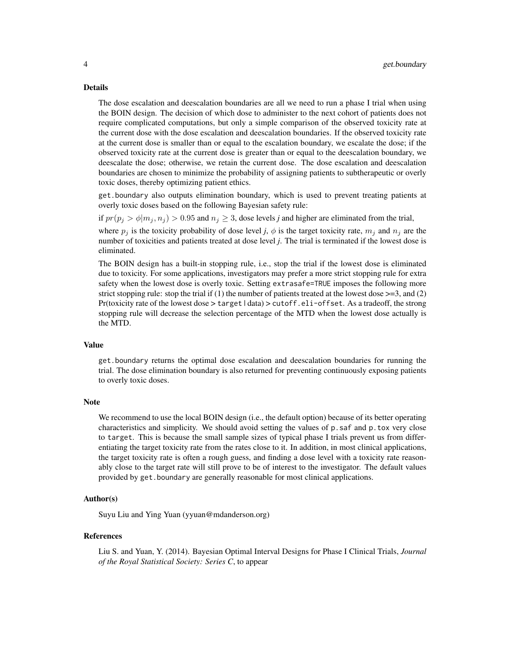#### Details

The dose escalation and deescalation boundaries are all we need to run a phase I trial when using the BOIN design. The decision of which dose to administer to the next cohort of patients does not require complicated computations, but only a simple comparison of the observed toxicity rate at the current dose with the dose escalation and deescalation boundaries. If the observed toxicity rate at the current dose is smaller than or equal to the escalation boundary, we escalate the dose; if the observed toxicity rate at the current dose is greater than or equal to the deescalation boundary, we deescalate the dose; otherwise, we retain the current dose. The dose escalation and deescalation boundaries are chosen to minimize the probability of assigning patients to subtherapeutic or overly toxic doses, thereby optimizing patient ethics.

get.boundary also outputs elimination boundary, which is used to prevent treating patients at overly toxic doses based on the following Bayesian safety rule:

if  $pr(p_i > \phi | m_i, n_i) > 0.95$  and  $n_i \geq 3$ , dose levels *j* and higher are eliminated from the trial,

where  $p_j$  is the toxicity probability of dose level *j*,  $\phi$  is the target toxicity rate,  $m_j$  and  $n_j$  are the number of toxicities and patients treated at dose level *j*. The trial is terminated if the lowest dose is eliminated.

The BOIN design has a built-in stopping rule, i.e., stop the trial if the lowest dose is eliminated due to toxicity. For some applications, investigators may prefer a more strict stopping rule for extra safety when the lowest dose is overly toxic. Setting extrasafe=TRUE imposes the following more strict stopping rule: stop the trial if  $(1)$  the number of patients treated at the lowest dose  $>=$ 3, and  $(2)$ Pr(toxicity rate of the lowest dose  $>$  target | data)  $>$  cutoff. eli-offset. As a tradeoff, the strong stopping rule will decrease the selection percentage of the MTD when the lowest dose actually is the MTD.

#### Value

get.boundary returns the optimal dose escalation and deescalation boundaries for running the trial. The dose elimination boundary is also returned for preventing continuously exposing patients to overly toxic doses.

#### **Note**

We recommend to use the local BOIN design (*i.e.*, the default option) because of its better operating characteristics and simplicity. We should avoid setting the values of p.saf and p.tox very close to target. This is because the small sample sizes of typical phase I trials prevent us from differentiating the target toxicity rate from the rates close to it. In addition, in most clinical applications, the target toxicity rate is often a rough guess, and finding a dose level with a toxicity rate reasonably close to the target rate will still prove to be of interest to the investigator. The default values provided by get.boundary are generally reasonable for most clinical applications.

#### Author(s)

Suyu Liu and Ying Yuan (yyuan@mdanderson.org)

#### References

Liu S. and Yuan, Y. (2014). Bayesian Optimal Interval Designs for Phase I Clinical Trials, *Journal of the Royal Statistical Society: Series C*, to appear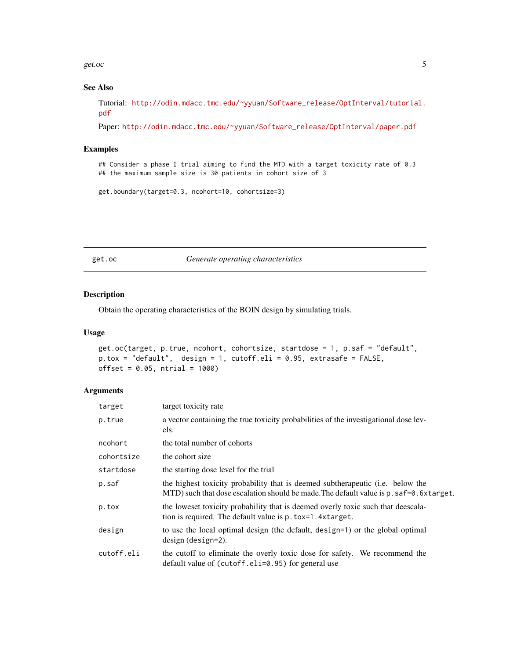<span id="page-4-0"></span>get.oc  $\sim$  5

#### See Also

Tutorial: [http://odin.mdacc.tmc.edu/~yyuan/Software\\_release/OptInterval/tutorial.](http://odin.mdacc.tmc.edu/~yyuan/Software_release/OptInterval/tutorial.pdf) [pdf](http://odin.mdacc.tmc.edu/~yyuan/Software_release/OptInterval/tutorial.pdf)

Paper: [http://odin.mdacc.tmc.edu/~yyuan/Software\\_release/OptInterval/paper.pdf](http://odin.mdacc.tmc.edu/~yyuan/Software_release/OptInterval/paper.pdf)

#### Examples

## Consider a phase I trial aiming to find the MTD with a target toxicity rate of 0.3 ## the maximum sample size is 30 patients in cohort size of 3

get.boundary(target=0.3, ncohort=10, cohortsize=3)

get.oc *Generate operating characteristics*

#### Description

Obtain the operating characteristics of the BOIN design by simulating trials.

#### Usage

```
get.oc(target, p.true, ncohort, cohortsize, startdose = 1, p.saf = "default",
p.tox = "default", design = 1, cutoff.eli = 0.95, extrasafe = FALSE,
offset = 0.05, ntrial = 1000)
```
#### Arguments

| target     | target toxicity rate                                                                                                                                                                        |
|------------|---------------------------------------------------------------------------------------------------------------------------------------------------------------------------------------------|
| p.true     | a vector containing the true toxicity probabilities of the investigational dose lev-<br>els.                                                                                                |
| ncohort    | the total number of cohorts                                                                                                                                                                 |
| cohortsize | the cohort size                                                                                                                                                                             |
| startdose  | the starting dose level for the trial                                                                                                                                                       |
| p.saf      | the highest toxicity probability that is deemed subtherapeutic ( <i>i.e.</i> below the<br>MTD) such that dose escalation should be made. The default value is $p$ . $s$ af=0. 6 $x$ target. |
| p.tox      | the loweset toxicity probability that is deemed overly toxic such that deescala-<br>tion is required. The default value is p. tox=1.4xtarget.                                               |
| design     | to use the local optimal design (the default, design=1) or the global optimal<br>$design$ (design=2).                                                                                       |
| cutoff.eli | the cutoff to eliminate the overly toxic dose for safety. We recommend the<br>default value of (cutoff.eli=0.95) for general use                                                            |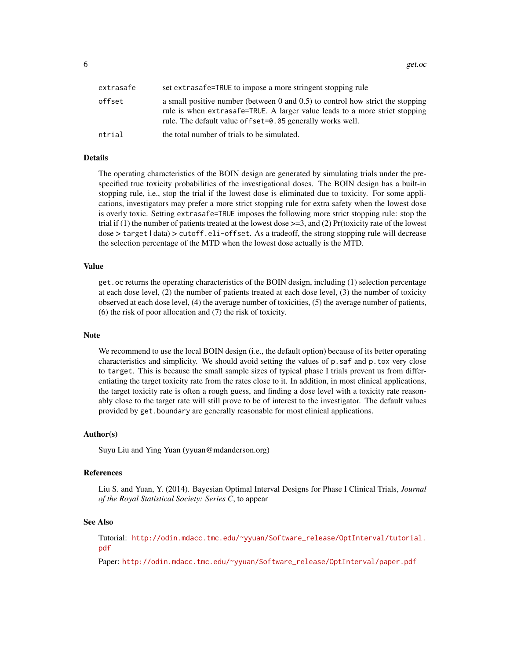$\epsilon$  6 get.oc  $\epsilon$  get.oc  $\epsilon$  and  $\epsilon$  and  $\epsilon$  and  $\epsilon$  and  $\epsilon$  and  $\epsilon$  and  $\epsilon$  and  $\epsilon$  and  $\epsilon$  and  $\epsilon$  and  $\epsilon$  and  $\epsilon$  and  $\epsilon$  and  $\epsilon$  and  $\epsilon$  and  $\epsilon$  and  $\epsilon$  and  $\epsilon$  and  $\epsilon$  and  $\epsilon$  and  $\epsilon$  and  $\epsilon$  a

| extrasafe | set extrasafe=TRUE to impose a more stringent stopping rule                                                                                                                                                                           |
|-----------|---------------------------------------------------------------------------------------------------------------------------------------------------------------------------------------------------------------------------------------|
| offset    | a small positive number (between $\theta$ and $(0.5)$ to control how strict the stopping<br>rule is when extrasafe=TRUE. A larger value leads to a more strict stopping<br>rule. The default value of fset=0.05 generally works well. |
| ntrial    | the total number of trials to be simulated.                                                                                                                                                                                           |

#### Details

The operating characteristics of the BOIN design are generated by simulating trials under the prespecified true toxicity probabilities of the investigational doses. The BOIN design has a built-in stopping rule, i.e., stop the trial if the lowest dose is eliminated due to toxicity. For some applications, investigators may prefer a more strict stopping rule for extra safety when the lowest dose is overly toxic. Setting extrasafe=TRUE imposes the following more strict stopping rule: stop the trial if  $(1)$  the number of patients treated at the lowest dose  $\geq$ =3, and  $(2)$  Pr(toxicity rate of the lowest dose > target | data) > cutoff.eli-offset. As a tradeoff, the strong stopping rule will decrease the selection percentage of the MTD when the lowest dose actually is the MTD.

#### Value

get.oc returns the operating characteristics of the BOIN design, including (1) selection percentage at each dose level, (2) the number of patients treated at each dose level, (3) the number of toxicity observed at each dose level, (4) the average number of toxicities, (5) the average number of patients, (6) the risk of poor allocation and (7) the risk of toxicity.

#### Note

We recommend to use the local BOIN design (i.e., the default option) because of its better operating characteristics and simplicity. We should avoid setting the values of p.saf and p.tox very close to target. This is because the small sample sizes of typical phase I trials prevent us from differentiating the target toxicity rate from the rates close to it. In addition, in most clinical applications, the target toxicity rate is often a rough guess, and finding a dose level with a toxicity rate reasonably close to the target rate will still prove to be of interest to the investigator. The default values provided by get.boundary are generally reasonable for most clinical applications.

#### Author(s)

Suyu Liu and Ying Yuan (yyuan@mdanderson.org)

#### References

Liu S. and Yuan, Y. (2014). Bayesian Optimal Interval Designs for Phase I Clinical Trials, *Journal of the Royal Statistical Society: Series C*, to appear

#### See Also

Tutorial: [http://odin.mdacc.tmc.edu/~yyuan/Software\\_release/OptInterval/tutorial.](http://odin.mdacc.tmc.edu/~yyuan/Software_release/OptInterval/tutorial.pdf) [pdf](http://odin.mdacc.tmc.edu/~yyuan/Software_release/OptInterval/tutorial.pdf)

Paper: [http://odin.mdacc.tmc.edu/~yyuan/Software\\_release/OptInterval/paper.pdf](http://odin.mdacc.tmc.edu/~yyuan/Software_release/OptInterval/paper.pdf)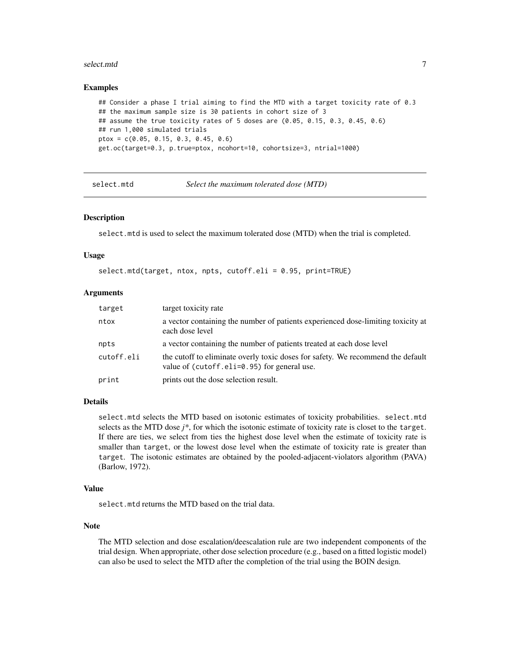#### <span id="page-6-0"></span>select.mtd 7

#### Examples

```
## Consider a phase I trial aiming to find the MTD with a target toxicity rate of 0.3
## the maximum sample size is 30 patients in cohort size of 3
## assume the true toxicity rates of 5 doses are (0.05, 0.15, 0.3, 0.45, 0.6)
## run 1,000 simulated trials
ptox = c(0.05, 0.15, 0.3, 0.45, 0.6)
get.oc(target=0.3, p.true=ptox, ncohort=10, cohortsize=3, ntrial=1000)
```
select.mtd *Select the maximum tolerated dose (MTD)*

#### Description

select.mtd is used to select the maximum tolerated dose (MTD) when the trial is completed.

#### Usage

```
select.mtd(target, ntox, npts, cutoff.eli = 0.95, print=TRUE)
```
#### Arguments

| target     | target toxicity rate                                                                                                           |
|------------|--------------------------------------------------------------------------------------------------------------------------------|
| ntox       | a vector containing the number of patients experienced dose-limiting toxicity at<br>each dose level                            |
| npts       | a vector containing the number of patients treated at each dose level                                                          |
| cutoff.eli | the cutoff to eliminate overly toxic doses for safety. We recommend the default<br>value of (cutoff.eli=0.95) for general use. |
| print      | prints out the dose selection result.                                                                                          |

#### Details

select.mtd selects the MTD based on isotonic estimates of toxicity probabilities. select.mtd selects as the MTD dose *j\**, for which the isotonic estimate of toxicity rate is closet to the target. If there are ties, we select from ties the highest dose level when the estimate of toxicity rate is smaller than target, or the lowest dose level when the estimate of toxicity rate is greater than target. The isotonic estimates are obtained by the pooled-adjacent-violators algorithm (PAVA) (Barlow, 1972).

#### Value

select.mtd returns the MTD based on the trial data.

#### Note

The MTD selection and dose escalation/deescalation rule are two independent components of the trial design. When appropriate, other dose selection procedure (e.g., based on a fitted logistic model) can also be used to select the MTD after the completion of the trial using the BOIN design.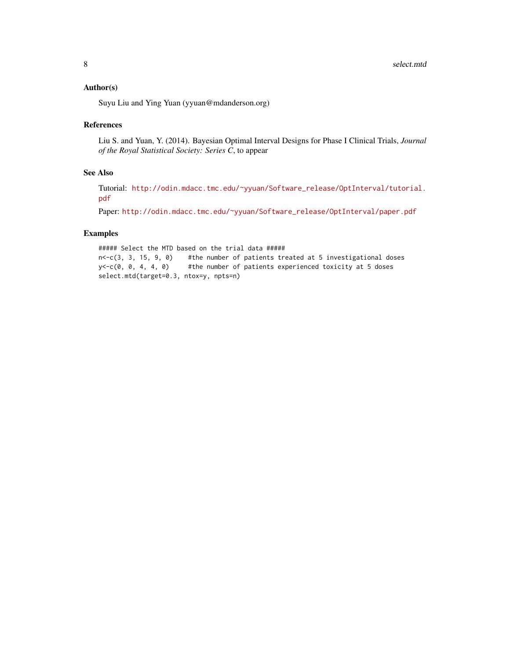#### Author(s)

Suyu Liu and Ying Yuan (yyuan@mdanderson.org)

#### References

Liu S. and Yuan, Y. (2014). Bayesian Optimal Interval Designs for Phase I Clinical Trials, *Journal of the Royal Statistical Society: Series C*, to appear

#### See Also

Tutorial: [http://odin.mdacc.tmc.edu/~yyuan/Software\\_release/OptInterval/tutorial.](http://odin.mdacc.tmc.edu/~yyuan/Software_release/OptInterval/tutorial.pdf) [pdf](http://odin.mdacc.tmc.edu/~yyuan/Software_release/OptInterval/tutorial.pdf)

Paper: [http://odin.mdacc.tmc.edu/~yyuan/Software\\_release/OptInterval/paper.pdf](http://odin.mdacc.tmc.edu/~yyuan/Software_release/OptInterval/paper.pdf)

#### Examples

##### Select the MTD based on the trial data ##### n<-c(3, 3, 15, 9, 0) #the number of patients treated at 5 investigational doses y<-c(0, 0, 4, 4, 0) #the number of patients experienced toxicity at 5 doses select.mtd(target=0.3, ntox=y, npts=n)